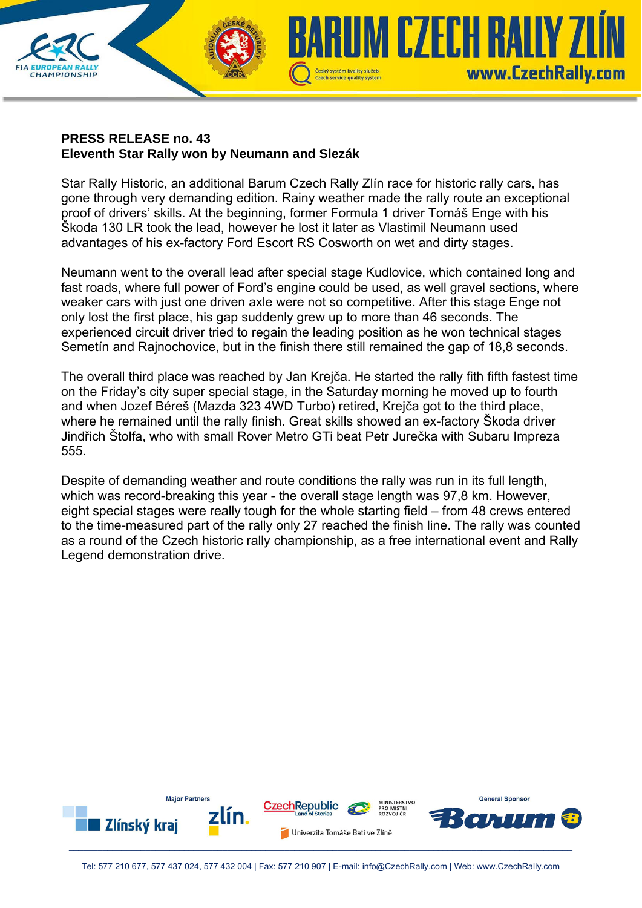

## **PRESS RELEASE no. 43 Eleventh Star Rally won by Neumann and Slezák**

Star Rally Historic, an additional Barum Czech Rally Zlín race for historic rally cars, has gone through very demanding edition. Rainy weather made the rally route an exceptional proof of drivers' skills. At the beginning, former Formula 1 driver Tomáš Enge with his Škoda 130 LR took the lead, however he lost it later as Vlastimil Neumann used advantages of his ex-factory Ford Escort RS Cosworth on wet and dirty stages.

Neumann went to the overall lead after special stage Kudlovice, which contained long and fast roads, where full power of Ford's engine could be used, as well gravel sections, where weaker cars with just one driven axle were not so competitive. After this stage Enge not only lost the first place, his gap suddenly grew up to more than 46 seconds. The experienced circuit driver tried to regain the leading position as he won technical stages Semetín and Rajnochovice, but in the finish there still remained the gap of 18,8 seconds.

The overall third place was reached by Jan Krejča. He started the rally fith fifth fastest time on the Friday's city super special stage, in the Saturday morning he moved up to fourth and when Jozef Béreš (Mazda 323 4WD Turbo) retired, Krejča got to the third place, where he remained until the rally finish. Great skills showed an ex-factory Škoda driver Jindřich Štolfa, who with small Rover Metro GTi beat Petr Jurečka with Subaru Impreza 555.

Despite of demanding weather and route conditions the rally was run in its full length, which was record-breaking this year - the overall stage length was 97,8 km. However, eight special stages were really tough for the whole starting field – from 48 crews entered to the time-measured part of the rally only 27 reached the finish line. The rally was counted as a round of the Czech historic rally championship, as a free international event and Rally Legend demonstration drive.